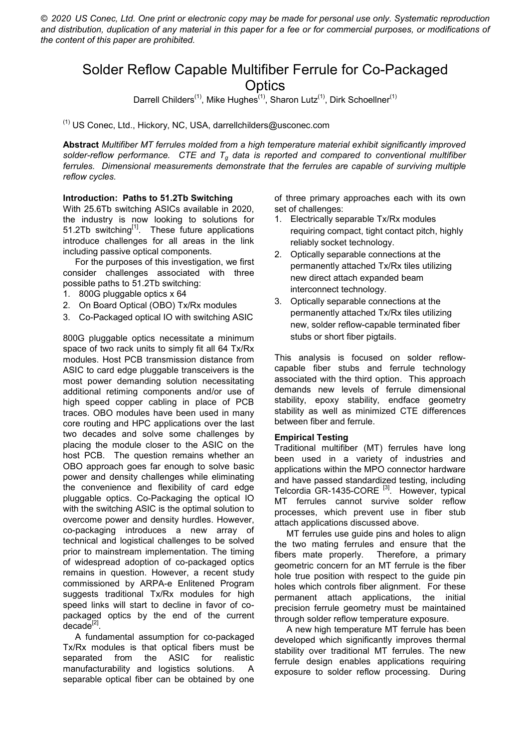*© 2020 US Conec, Ltd. One print or electronic copy may be made for personal use only. Systematic reproduction*  and distribution, duplication of any material in this paper for a fee or for commercial purposes, or modifications of *the content of this paper are prohibited.*

## Solder Reflow Capable Multifiber Ferrule for Co-Packaged **Optics**

Darrell Childers<sup>(1)</sup>, Mike Hughes<sup>(1)</sup>, Sharon Lutz<sup>(1)</sup>, Dirk Schoellner<sup>(1)</sup>

(1) US Conec, Ltd., Hickory, NC, USA, darrellchilders@usconec.com

**Abstract** *Multifiber MT ferrules molded from a high temperature material exhibit significantly improved solder-reflow performance. CTE and Tg data is reported and compared to conventional multifiber ferrules. Dimensional measurements demonstrate that the ferrules are capable of surviving multiple reflow cycles.*

## **Introduction: Paths to 51.2Tb Switching**

With 25.6Tb switching ASICs available in 2020, the industry is now looking to solutions for 51.2Tb switching<sup>[1]</sup>. These future applications introduce challenges for all areas in the link including passive optical components.

 For the purposes of this investigation, we first consider challenges associated with three possible paths to 51.2Tb switching:

- 1. 800G pluggable optics x 64
- 2. On Board Optical (OBO) Tx/Rx modules
- 3. Co-Packaged optical IO with switching ASIC

800G pluggable optics necessitate a minimum space of two rack units to simply fit all 64 Tx/Rx modules. Host PCB transmission distance from ASIC to card edge pluggable transceivers is the most power demanding solution necessitating additional retiming components and/or use of high speed copper cabling in place of PCB traces. OBO modules have been used in many core routing and HPC applications over the last two decades and solve some challenges by placing the module closer to the ASIC on the host PCB. The question remains whether an OBO approach goes far enough to solve basic power and density challenges while eliminating the convenience and flexibility of card edge pluggable optics. Co-Packaging the optical IO with the switching ASIC is the optimal solution to overcome power and density hurdles. However, co-packaging introduces a new array of technical and logistical challenges to be solved prior to mainstream implementation. The timing of widespread adoption of co-packaged optics remains in question. However, a recent study commissioned by ARPA-e Enlitened Program suggests traditional Tx/Rx modules for high speed links will start to decline in favor of copackaged optics by the end of the current decade<sup>[2]</sup>.

 A fundamental assumption for co-packaged Tx/Rx modules is that optical fibers must be separated from the ASIC for realistic manufacturability and logistics solutions. A separable optical fiber can be obtained by one of three primary approaches each with its own set of challenges:

- 1. Electrically separable Tx/Rx modules requiring compact, tight contact pitch, highly reliably socket technology.
- 2. Optically separable connections at the permanently attached Tx/Rx tiles utilizing new direct attach expanded beam interconnect technology.
- 3. Optically separable connections at the permanently attached Tx/Rx tiles utilizing new, solder reflow-capable terminated fiber stubs or short fiber pigtails.

This analysis is focused on solder reflowcapable fiber stubs and ferrule technology associated with the third option. This approach demands new levels of ferrule dimensional stability, epoxy stability, endface geometry stability as well as minimized CTE differences between fiber and ferrule.

## **Empirical Testing**

Traditional multifiber (MT) ferrules have long been used in a variety of industries and applications within the MPO connector hardware and have passed standardized testing, including Telcordia GR-1435-CORE<sup>[3]</sup>. However, typical MT ferrules cannot survive solder reflow processes, which prevent use in fiber stub attach applications discussed above.

 MT ferrules use guide pins and holes to align the two mating ferrules and ensure that the fibers mate properly. Therefore, a primary geometric concern for an MT ferrule is the fiber hole true position with respect to the guide pin holes which controls fiber alignment. For these permanent attach applications, the initial precision ferrule geometry must be maintained through solder reflow temperature exposure.

 A new high temperature MT ferrule has been developed which significantly improves thermal stability over traditional MT ferrules. The new ferrule design enables applications requiring exposure to solder reflow processing. During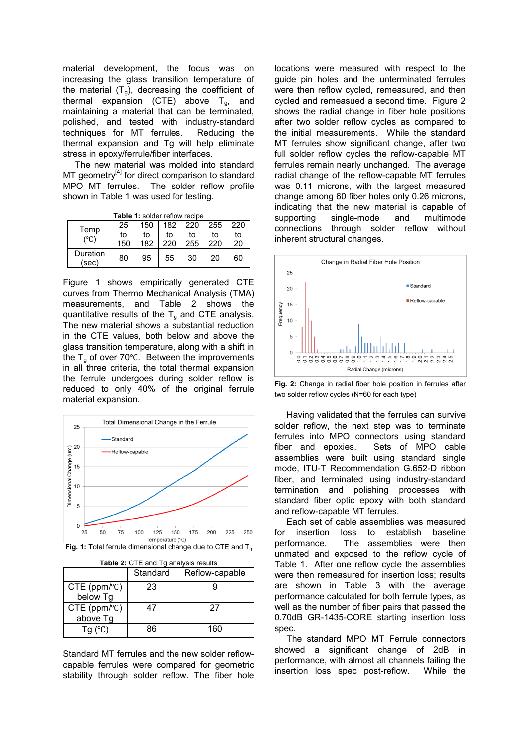material development, the focus was on increasing the glass transition temperature of the material  $(T_g)$ , decreasing the coefficient of thermal expansion (CTE) above  $T_g$ , and maintaining a material that can be terminated, polished, and tested with industry-standard techniques for MT ferrules. Reducing the thermal expansion and Tg will help eliminate stress in epoxy/ferrule/fiber interfaces.

The new material was molded into standard MT geometry<sup>[4]</sup> for direct comparison to standard MPO MT ferrules. The solder reflow profile shown in Table 1 was used for testing.

|  |  | <b>Table 1: solder reflow recipe</b> |
|--|--|--------------------------------------|
|  |  |                                      |

| Temp              | 25  | 150 | 182 | 220 | 255 | 220 |
|-------------------|-----|-----|-----|-----|-----|-----|
| $(^\circ C)$      | to  | to  | to  | to  | to  | to  |
|                   | 150 | 182 | 220 | 255 | 220 | 20  |
| Duration<br>(sec) | 80  | 95  | 55  | 30  | 20  | 60  |

Figure 1 shows empirically generated CTE curves from Thermo Mechanical Analysis (TMA) measurements, and Table 2 shows the quantitative results of the  $T_g$  and CTE analysis. The new material shows a substantial reduction in the CTE values, both below and above the glass transition temperature, along with a shift in the  $T_q$  of over 70°C. Between the improvements in all three criteria, the total thermal expansion the ferrule undergoes during solder reflow is reduced to only 40% of the original ferrule material expansion.



| <b>Fig. 1:</b> Total ferrule dimensional change due to CTE and T $_{\rm g}$ |  |
|-----------------------------------------------------------------------------|--|
|-----------------------------------------------------------------------------|--|

|  |  | Table 2: CTE and Tg analysis results |  |
|--|--|--------------------------------------|--|
|--|--|--------------------------------------|--|

|                                       | Standard | Reflow-capable |
|---------------------------------------|----------|----------------|
| $CTE$ (ppm/ $C$ )<br>below Tg         | 23       |                |
| $CTE$ (ppm/ $^{\circ}$ C)<br>above Tg | 47       | 27             |
| Tg $(C)$                              | 86       | 160            |

Standard MT ferrules and the new solder reflowcapable ferrules were compared for geometric stability through solder reflow. The fiber hole locations were measured with respect to the guide pin holes and the unterminated ferrules were then reflow cycled, remeasured, and then cycled and remeasued a second time. Figure 2 shows the radial change in fiber hole positions after two solder reflow cycles as compared to the initial measurements. While the standard MT ferrules show significant change, after two full solder reflow cycles the reflow-capable MT ferrules remain nearly unchanged. The average radial change of the reflow-capable MT ferrules was 0.11 microns, with the largest measured change among 60 fiber holes only 0.26 microns, indicating that the new material is capable of supporting single-mode and multimode connections through solder reflow without inherent structural changes.



**Fig. 2:** Change in radial fiber hole position in ferrules after two solder reflow cycles (N=60 for each type)

Having validated that the ferrules can survive solder reflow, the next step was to terminate ferrules into MPO connectors using standard fiber and epoxies. Sets of MPO cable assemblies were built using standard single mode, ITU-T Recommendation G.652-D ribbon fiber, and terminated using industry-standard termination and polishing processes with standard fiber optic epoxy with both standard and reflow-capable MT ferrules.

Each set of cable assemblies was measured for insertion loss to establish baseline performance. The assemblies were then unmated and exposed to the reflow cycle of Table 1. After one reflow cycle the assemblies were then remeasured for insertion loss; results are shown in Table 3 with the average performance calculated for both ferrule types, as well as the number of fiber pairs that passed the 0.70dB GR-1435-CORE starting insertion loss spec.

The standard MPO MT Ferrule connectors showed a significant change of 2dB in performance, with almost all channels failing the insertion loss spec post-reflow. While the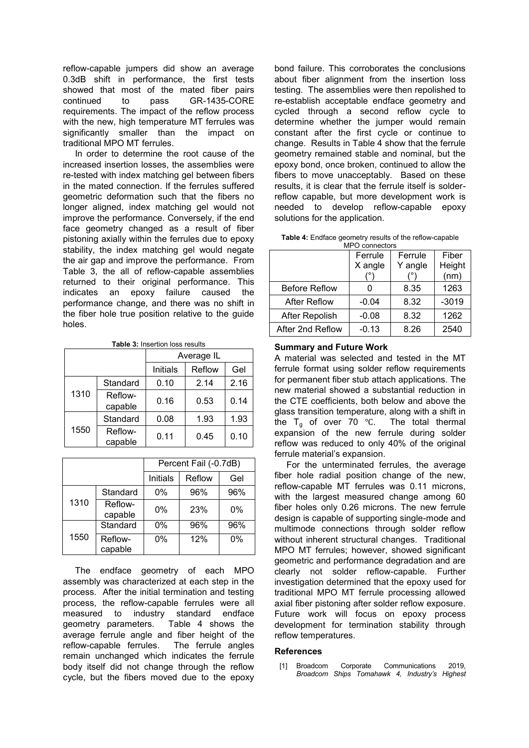reflow-capable jumpers did show an average 0.3dB shift in performance, the first tests showed that most of the mated fiber pairs continued to pass GR-1435-CORE requirements. The impact of the reflow process with the new, high temperature MT ferrules was significantly smaller than the impact on traditional MPO MT ferrules.

In order to determine the root cause of the increased insertion losses, the assemblies were re-tested with index matching gel between fibers in the mated connection. If the ferrules suffered geometric deformation such that the fibers no longer aligned, index matching gel would not improve the performance. Conversely, if the end face geometry changed as a result of fiber pistoning axially within the ferrules due to epoxy stability, the index matching gel would negate the air gap and improve the performance. From Table 3, the all of reflow-capable assemblies returned to their original performance. This indicates an epoxy failure caused the performance change, and there was no shift in the fiber hole true position relative to the guide holes.

**Table 3:** Insertion loss results

|      |                    | Average IL |        |      |  |
|------|--------------------|------------|--------|------|--|
|      |                    | Initials   | Reflow | Gel  |  |
| 1310 | Standard           | 0.10       | 2.14   | 2.16 |  |
|      | Reflow-<br>capable | 0.16       | 0.53   | 0.14 |  |
| 1550 | Standard           | 0.08       | 1.93   | 1.93 |  |
|      | Reflow-<br>capable | 0.11       | 0.45   | 0.10 |  |

|      |                    | Percent Fail (-0.7dB) |        |     |  |
|------|--------------------|-----------------------|--------|-----|--|
|      |                    | Initials              | Reflow | Gel |  |
| 1310 | Standard           | 0%                    | 96%    | 96% |  |
|      | Reflow-<br>capable | 0%                    | 23%    | 0%  |  |
| 1550 | Standard           | 0%                    | 96%    | 96% |  |
|      | Reflow-<br>capable | 0%                    | 12%    | 0%  |  |

The endface geometry of each MPO assembly was characterized at each step in the process. After the initial termination and testing process, the reflow-capable ferrules were all measured to industry standard endface geometry parameters. Table 4 shows the average ferrule angle and fiber height of the reflow-capable ferrules. The ferrule angles remain unchanged which indicates the ferrule body itself did not change through the reflow cycle, but the fibers moved due to the epoxy

bond failure. This corroborates the conclusions about fiber alignment from the insertion loss testing. The assemblies were then repolished to re-establish acceptable endface geometry and cycled through a second reflow cycle to determine whether the jumper would remain constant after the first cycle or continue to change. Results in Table 4 show that the ferrule geometry remained stable and nominal, but the epoxy bond, once broken, continued to allow the fibers to move unacceptably. Based on these results, it is clear that the ferrule itself is solderreflow capable, but more development work is needed to develop reflow-capable epoxy solutions for the application.

| <b>Table 4:</b> Endface geometry results of the reflow-capable |  |
|----------------------------------------------------------------|--|
| MPO connectors                                                 |  |

|                      | Ferrule | Ferrule | Fiber   |
|----------------------|---------|---------|---------|
|                      | X angle | Y angle | Height  |
|                      |         |         | (nm)    |
| <b>Before Reflow</b> |         | 8.35    | 1263    |
| <b>After Reflow</b>  | $-0.04$ | 8.32    | $-3019$ |
| After Repolish       | $-0.08$ | 8.32    | 1262    |
| After 2nd Reflow     | $-0.13$ | 8.26    | 2540    |

**Summary and Future Work**

A material was selected and tested in the MT ferrule format using solder reflow requirements for permanent fiber stub attach applications. The new material showed a substantial reduction in the CTE coefficients, both below and above the glass transition temperature, along with a shift in the T<sub>g</sub> of over 70 °C. The total thermal expansion of the new ferrule during solder reflow was reduced to only 40% of the original ferrule material's expansion.

For the unterminated ferrules, the average fiber hole radial position change of the new, reflow-capable MT ferrules was 0.11 microns, with the largest measured change among 60 fiber holes only 0.26 microns. The new ferrule design is capable of supporting single-mode and multimode connections through solder reflow without inherent structural changes. Traditional MPO MT ferrules; however, showed significant geometric and performance degradation and are clearly not solder reflow-capable. Further investigation determined that the epoxy used for traditional MPO MT ferrule processing allowed axial fiber pistoning after solder reflow exposure. Future work will focus on epoxy process development for termination stability through reflow temperatures.

## **References**

[1] Broadcom Corporate Communications 2019, *Broadcom Ships Tomahawk 4, Industry's Highest*